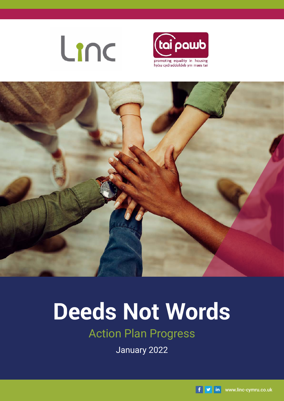





# **Deeds Not Words**

### Action Plan Progress

January 2022

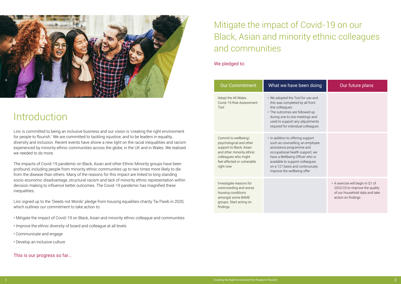

# Introduction

Linc is committed to being an inclusive business and our vision is 'creating the right environment for people to flourish.' We are committed to tackling injustice, and to be leaders in equality, diversity and inclusion. Recent events have shone a new light on the racial inequalities and racism experienced by minority ethnic communities across the globe, in the UK and in Wales. We realised we needed to do more.

The impacts of Covid-19 pandemic on Black, Asian and other Ethnic Minority groups have been profound, including people from minority ethnic communities up to two times more likely to die from the disease than others. Many of the reasons for this impact are linked to long standing socio-economic disadvantage, structural racism and lack of minority ethnic representation within decision making to influence better outcomes. The Covid-19 pandemic has magnified these inequalities.

Linc signed up to the 'Deeds not Words' pledge from housing equalities charity Tai Pawb in 2020, which outlines our commitment to take action to:

- Mitigate the impact of Covid-19 on Black, Asian and minority ethnic colleague and communities
- Improve the ethnic diversity of board and colleague at all levels
- Communicate and engage
- Develop an inclusive culture

### This is our progress so far...

We pledged to:

## Mitigate the impact of Covid-19 on our Black, Asian and minority ethnic colleagues and communities

| <b>Our Commitment</b>                                                                                                                                                       | What we have been doing                                                                                                                                                                                                                                                      | Our future plans                                                                                                           |
|-----------------------------------------------------------------------------------------------------------------------------------------------------------------------------|------------------------------------------------------------------------------------------------------------------------------------------------------------------------------------------------------------------------------------------------------------------------------|----------------------------------------------------------------------------------------------------------------------------|
| Adopt the All Wales<br>Covid-19 Risk Assessment<br>Tool                                                                                                                     | • We adopted the Tool for use and<br>this was completed by all front<br>line colleagues<br>• The outcomes are followed up<br>during one to one meetings and<br>used to support any adjustments<br>required for individual colleagues                                         |                                                                                                                            |
| Commit to wellbeing/<br>psychological and other<br>support to Black, Asian<br>and other minority ethnic<br>colleagues who might<br>feel affected or vulnerable<br>right now | • In addition to offering support<br>such as counselling, an employee<br>assistance programme and<br>occupational health support, we<br>have a Wellbeing Officer who is<br>available to support colleagues<br>on a 121 basis and continuously<br>improve the wellbeing offer |                                                                                                                            |
| Investigate reasons for<br>overcrowding and worse<br>housing conditions<br>amongst some BAME<br>groups. Start acting on<br>findings                                         |                                                                                                                                                                                                                                                                              | • A exercise will begin in Q1 of<br>2022/23 to improve the quality<br>of our household data and take<br>action on findings |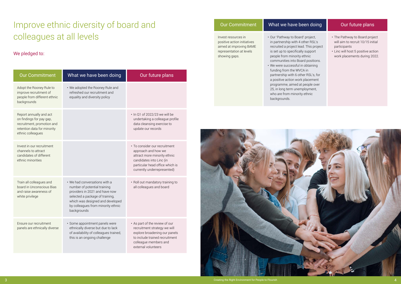- project, ier RSL's This project support
- nic positions.
- btaining
- 
- 
- 
- 
- 
- 

### We pledged to:

### Improve ethnic diversity of board and colleagues at all levels

| <b>Our Commitment</b>                                                                                                                 | What we have been doing                                                                                                                                                                                                     | Our future plans                                                                                                                                                                   |
|---------------------------------------------------------------------------------------------------------------------------------------|-----------------------------------------------------------------------------------------------------------------------------------------------------------------------------------------------------------------------------|------------------------------------------------------------------------------------------------------------------------------------------------------------------------------------|
| Adopt the Rooney Rule to<br>improve recruitment of<br>people from different ethnic<br>backgrounds                                     | • We adopted the Rooney Rule and<br>refreshed our recruitment and<br>equality and diversity policy                                                                                                                          |                                                                                                                                                                                    |
| Report annually and act<br>on findings for pay gap,<br>recruitment, promotion and<br>retention data for minority<br>ethnic colleagues |                                                                                                                                                                                                                             | . In Q1 of 2022/23 we will be<br>undertaking a colleague profile<br>data cleansing exercise to<br>update our records                                                               |
| Invest in our recruitment<br>channels to attract<br>candidates of different<br>ethnic minorities                                      |                                                                                                                                                                                                                             | • To consider our recruitment<br>approach and how we<br>attract more minority ethnic<br>candidates into Linc (in<br>particular head office which is<br>currently underrepresented) |
| Train all colleagues and<br>board in Unconscious Bias<br>and raise awareness of<br>white privilege                                    | • We had conversations with a<br>number of potential training<br>providers in 2021 and have now<br>selected a package of training,<br>which was designed and developed<br>by colleagues from minority ethnic<br>backgrounds | • Roll out mandatory training to<br>all colleagues and board                                                                                                                       |
| Ensure our recruitment<br>panels are ethnically diverse                                                                               | · Some appointment panels were<br>ethnically diverse but due to lack<br>of availability of colleagues trained,<br>this is an ongoing challenge                                                                              | • As part of the review of our<br>recruitment strategy we will<br>explore broadening our panels<br>to include trained recruitment<br>colleague members and<br>external volunteers  |

| <b>Our Commitment</b>                                                                                                      | What we have been doing                                                                                                                                                                                                                                                                       | Our future plans                                                                                                                                    |
|----------------------------------------------------------------------------------------------------------------------------|-----------------------------------------------------------------------------------------------------------------------------------------------------------------------------------------------------------------------------------------------------------------------------------------------|-----------------------------------------------------------------------------------------------------------------------------------------------------|
| Invest resources in<br>positive action initiatives<br>aimed at improving BAME<br>representation at levels<br>showing gaps. | • Our 'Pathway to Board' project,<br>in partnership with 4 other RSL's<br>recruited a project lead. This project<br>is set up to specifically support<br>people from minority ethnic<br>communities into Board positions.<br>• We were successful in obtaining<br>funding from the $MN/ON$ in | • The Pathway to Board proje<br>will aim to recruit 10/15 initi<br>participants<br>· Linc will host 5 positive action<br>work placements during 202 |

funding from the WVCA in partnership with 6 other RSL's, for a positive action work placement programme, aimed at people over 25, in long term unemployment, who are from minority ethnic backgrounds.



- The Pathway to Board project will aim to recruit 10/15 initial participants
- Linc will host 5 positive action work placements during 2022.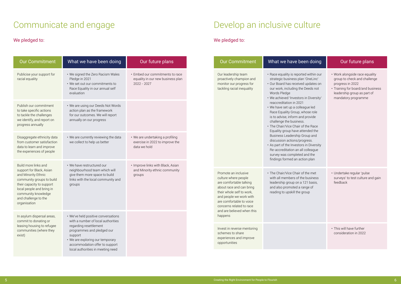### We pledged to:

### Communicate and engage

| <b>Our Commitment</b>                                                                                                                                                                                                         | What we have been doing                                                                                                                                                                                                                                 | Our future plans                                                                    |
|-------------------------------------------------------------------------------------------------------------------------------------------------------------------------------------------------------------------------------|---------------------------------------------------------------------------------------------------------------------------------------------------------------------------------------------------------------------------------------------------------|-------------------------------------------------------------------------------------|
| Publicise your support for<br>racial equality                                                                                                                                                                                 | • We signed the Zero Racism Wales<br>Pledge in 2021<br>• We set out our commitments to<br>Race Equality in our annual self<br>evaluation                                                                                                                | • Embed our commitments to race<br>equality in our new business plan<br>2022 - 2027 |
| Publish our commitment<br>to take specific actions<br>to tackle the challenges<br>we identify, and report on<br>progress annually                                                                                             | • We are using our Deeds Not Words<br>action plan as the framework<br>for our outcomes. We will report<br>annually on our progress                                                                                                                      |                                                                                     |
| Disaggregate ethnicity data<br>from customer satisfaction<br>data to learn and improve<br>the experiences of people                                                                                                           | • We are currently reviewing the data<br>we collect to help us better                                                                                                                                                                                   | • We are undertaking a profiling<br>exercise in 2022 to improve the<br>data we hold |
| Build more links and<br>support for Black, Asian<br>and Minority Ethnic<br>community groups to build<br>their capacity to support<br>local people and bring in<br>community knowledge<br>and challenge to the<br>organisation | • We have restructured our<br>neighbourhood team which will<br>give them more space to build<br>links with the local community and<br>groups                                                                                                            | • Improve links with Black, Asian<br>and Minority ethnic community<br>groups        |
| In asylum dispersal areas,<br>commit to donating or<br>leasing housing to refugee<br>communities (where they<br>exist)                                                                                                        | • We've held positive conversations<br>with a number of local authorities<br>regarding resettlement<br>programmes and pledged our<br>support<br>• We are exploring our temporary<br>accommodation offer to support<br>local authorities in meeting need |                                                                                     |

### We pledged to:

# Develop an inclusive culture

| <b>Our Commitment</b>                                                                                                                                                                                                                                        | What we have been doing                                                                                                                                                                                                                                                                                                                                                                                                                                                                                                                                                                                                                                                         | Our future plans                                                                                                                                                     |
|--------------------------------------------------------------------------------------------------------------------------------------------------------------------------------------------------------------------------------------------------------------|---------------------------------------------------------------------------------------------------------------------------------------------------------------------------------------------------------------------------------------------------------------------------------------------------------------------------------------------------------------------------------------------------------------------------------------------------------------------------------------------------------------------------------------------------------------------------------------------------------------------------------------------------------------------------------|----------------------------------------------------------------------------------------------------------------------------------------------------------------------|
| Our leadership team<br>proactively champion and<br>monitor our progress for<br>tackling racial inequality                                                                                                                                                    | • Race equality is reported within our<br>strategic business plan 'OneLinc'<br>· Our Board has received updates on<br>our work, including the Deeds not<br>Words Pledge<br>• We achieved 'Investors in Diversity'<br>reaccreditation in 2021<br>• We have set up a colleague led<br>Race Equality Group, whose role<br>is to advise, inform and provide<br>challenge the business.<br>• The Chair/Vice Chair of the Race<br>Equality group have attended the<br>Business Leadership Group and<br>discussion actions/progress.<br>• As part of the Investors in Diversity<br>Re-accreditation an all colleague<br>survey was completed and the<br>findings formed an action plan | · Work alongside race equali<br>group to check and challen<br>progress in 2022<br>• Training for board/and bus<br>leadership group as part of<br>mandatory programme |
| Promote an inclusive<br>culture where people<br>are comfortable talking<br>about race and can bring<br>their whole self to work,<br>and people we work with<br>are comfortable to voice<br>concerns related to race<br>and are believed when this<br>happens | • The Chair/Vice Chair of the met<br>with all members of the business<br>leadership group on a 121 basis,<br>and also promoted a range of<br>reading to upskill the group                                                                                                                                                                                                                                                                                                                                                                                                                                                                                                       | · Undertake regular 'pulse<br>surveys' to test culture and<br>feedback                                                                                               |
| Invest in reverse mentoring<br>schemes to share<br>experiences and improve<br>opportunities                                                                                                                                                                  |                                                                                                                                                                                                                                                                                                                                                                                                                                                                                                                                                                                                                                                                                 | • This will have further<br>consideration in 2022                                                                                                                    |

| what we have been doing                                                                                                                                                                                                                                                                                                                                                                                                                                                                                                                                                                                                                                                         | Our future plans                                                                                                                                                              |
|---------------------------------------------------------------------------------------------------------------------------------------------------------------------------------------------------------------------------------------------------------------------------------------------------------------------------------------------------------------------------------------------------------------------------------------------------------------------------------------------------------------------------------------------------------------------------------------------------------------------------------------------------------------------------------|-------------------------------------------------------------------------------------------------------------------------------------------------------------------------------|
| • Race equality is reported within our<br>strategic business plan 'OneLinc'<br>· Our Board has received updates on<br>our work, including the Deeds not<br>Words Pledge<br>• We achieved 'Investors in Diversity'<br>reaccreditation in 2021<br>• We have set up a colleague led<br>Race Equality Group, whose role<br>is to advise, inform and provide<br>challenge the business.<br>• The Chair/Vice Chair of the Race<br>Equality group have attended the<br>Business Leadership Group and<br>discussion actions/progress.<br>• As part of the Investors in Diversity<br>Re-accreditation an all colleague<br>survey was completed and the<br>findings formed an action plan | • Work alongside race equality<br>group to check and challenge<br>progress in 2022<br>• Training for board/and business<br>leadership group as part of<br>mandatory programme |
| • The Chair/Vice Chair of the met<br>with all members of the business<br>leadership group on a 121 basis,<br>and also promoted a range of<br>reading to upskill the group                                                                                                                                                                                                                                                                                                                                                                                                                                                                                                       | · Undertake regular 'pulse<br>surveys' to test culture and gain<br>feedback                                                                                                   |
|                                                                                                                                                                                                                                                                                                                                                                                                                                                                                                                                                                                                                                                                                 | • This will have further<br>consideration in 2022                                                                                                                             |